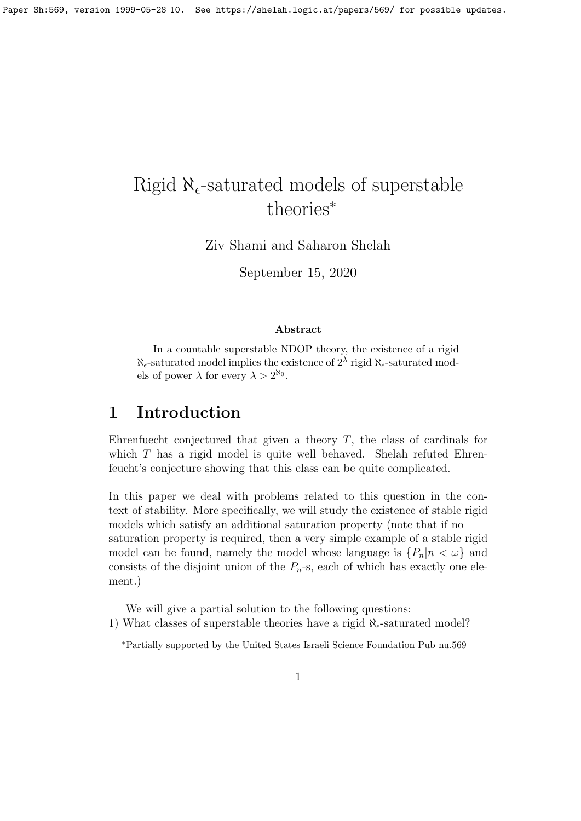# Rigid  $\aleph_{\epsilon}$ -saturated models of superstable theories<sup>∗</sup>

Ziv Shami and Saharon Shelah

September 15, 2020

#### Abstract

In a countable superstable NDOP theory, the existence of a rigid  $\aleph_{\epsilon}$ -saturated model implies the existence of  $2^{\lambda}$  rigid  $\aleph_{\epsilon}$ -saturated models of power  $\lambda$  for every  $\lambda > 2^{\aleph_0}$ .

### 1 Introduction

Ehrenfuecht conjectured that given a theory  $T$ , the class of cardinals for which T has a rigid model is quite well behaved. Shelah refuted Ehrenfeucht's conjecture showing that this class can be quite complicated.

In this paper we deal with problems related to this question in the context of stability. More specifically, we will study the existence of stable rigid models which satisfy an additional saturation property (note that if no saturation property is required, then a very simple example of a stable rigid model can be found, namely the model whose language is  $\{P_n|n < \omega\}$  and consists of the disjoint union of the  $P_n$ -s, each of which has exactly one element.)

We will give a partial solution to the following questions: 1) What classes of superstable theories have a rigid  $\aleph_{\epsilon}$ -saturated model?

<sup>∗</sup>Partially supported by the United States Israeli Science Foundation Pub nu.569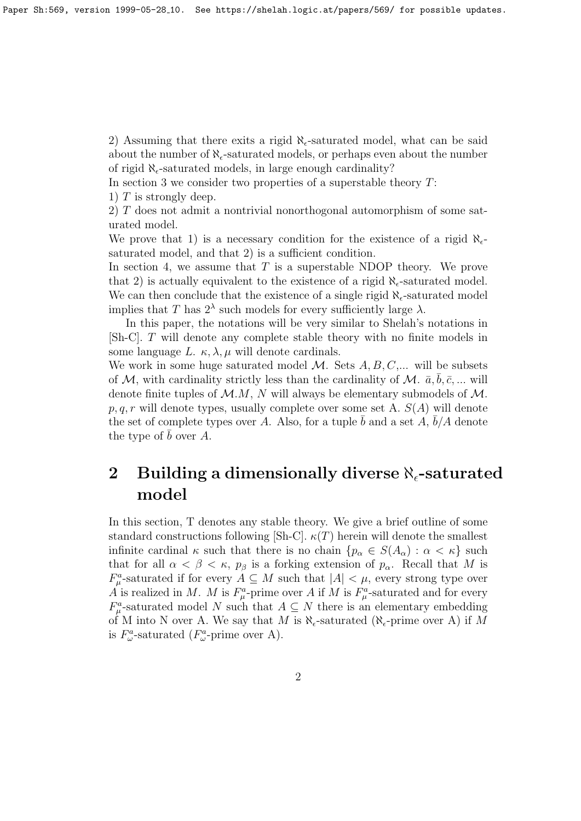2) Assuming that there exits a rigid  $\aleph_{\epsilon}$ -saturated model, what can be said about the number of  $\aleph_{\epsilon}$ -saturated models, or perhaps even about the number of rigid  $\aleph_{\epsilon}$ -saturated models, in large enough cardinality?

In section 3 we consider two properties of a superstable theory  $T$ :

1)  $T$  is strongly deep.

2) T does not admit a nontrivial nonorthogonal automorphism of some saturated model.

We prove that 1) is a necessary condition for the existence of a rigid  $\aleph_{\epsilon}$ saturated model, and that 2) is a sufficient condition.

In section 4, we assume that  $T$  is a superstable NDOP theory. We prove that 2) is actually equivalent to the existence of a rigid  $\aleph_{\epsilon}$ -saturated model. We can then conclude that the existence of a single rigid  $\aleph_{\epsilon}$ -saturated model implies that T has  $2^{\lambda}$  such models for every sufficiently large  $\lambda$ .

In this paper, the notations will be very similar to Shelah's notations in [Sh-C]. T will denote any complete stable theory with no finite models in some language L.  $\kappa$ ,  $\lambda$ ,  $\mu$  will denote cardinals.

We work in some huge saturated model  $\mathcal{M}$ . Sets  $A, B, C, \ldots$  will be subsets of M, with cardinality strictly less than the cardinality of M.  $\bar{a}, \bar{b}, \bar{c}, \ldots$  will denote finite tuples of  $\mathcal{M}.M$ , N will always be elementary submodels of  $\mathcal{M}.$  $p, q, r$  will denote types, usually complete over some set A.  $S(A)$  will denote the set of complete types over A. Also, for a tuple  $\bar{b}$  and a set  $\bar{A}$ ,  $\bar{b}/A$  denote the type of  $\bar{b}$  over A.

# 2 Building a dimensionally diverse  $\aleph_{\epsilon}$ -saturated model

In this section, T denotes any stable theory. We give a brief outline of some standard constructions following [Sh-C].  $\kappa(T)$  herein will denote the smallest infinite cardinal  $\kappa$  such that there is no chain  $\{p_{\alpha} \in S(A_{\alpha}) : \alpha < \kappa\}$  such that for all  $\alpha < \beta < \kappa$ ,  $p_{\beta}$  is a forking extension of  $p_{\alpha}$ . Recall that M is  $F_{\mu}^{a}$ -saturated if for every  $A \subseteq M$  such that  $|A| < \mu$ , every strong type over A is realized in M. M is  $F^a_\mu$ -prime over A if M is  $F^a_\mu$ -saturated and for every  $F^a_\mu$ -saturated model N such that  $A \subseteq N$  there is an elementary embedding of M into N over A. We say that M is  $\aleph_{\epsilon}$ -saturated ( $\aleph_{\epsilon}$ -prime over A) if M is  $F^a_\omega$ -saturated  $(F^a_\omega$ -prime over A).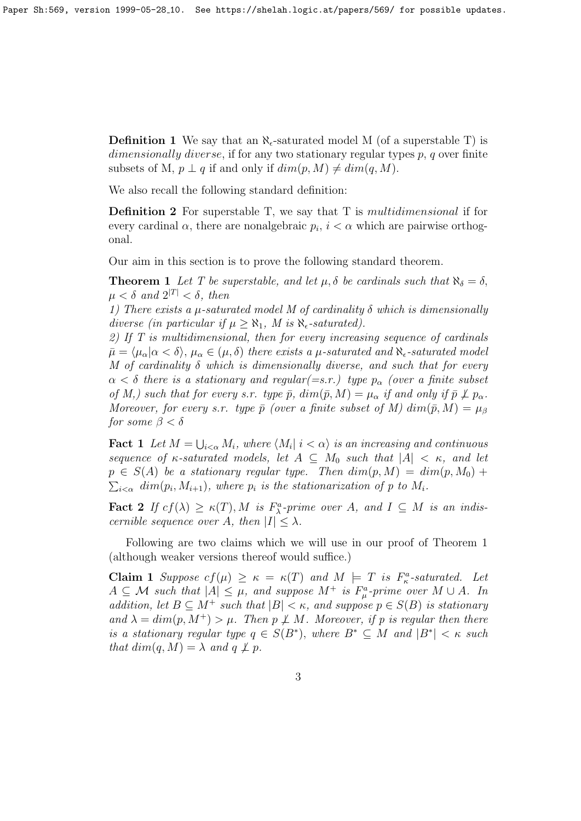**Definition 1** We say that an  $\aleph_{\epsilon}$ -saturated model M (of a superstable T) is dimensionally diverse, if for any two stationary regular types p, q over finite subsets of M,  $p \perp q$  if and only if  $dim(p, M) \neq dim(q, M)$ .

We also recall the following standard definition:

**Definition 2** For superstable T, we say that T is *multidimensional* if for every cardinal  $\alpha$ , there are nonalgebraic  $p_i$ ,  $i < \alpha$  which are pairwise orthogonal.

Our aim in this section is to prove the following standard theorem.

**Theorem 1** Let T be superstable, and let  $\mu$ ,  $\delta$  be cardinals such that  $\aleph_{\delta} = \delta$ ,  $\mu < \delta$  and  $2^{|T|} < \delta$ , then

1) There exists a  $\mu$ -saturated model M of cardinality  $\delta$  which is dimensionally diverse (in particular if  $\mu \geq \aleph_1$ , M is  $\aleph_{\epsilon}$ -saturated).

2) If T is multidimensional, then for every increasing sequence of cardinals  $\bar{\mu} = \langle \mu_\alpha | \alpha < \delta \rangle$ ,  $\mu_\alpha \in (\mu, \delta)$  there exists a  $\mu$ -saturated and  $\aleph_{\epsilon}$ -saturated model M of cardinality  $\delta$  which is dimensionally diverse, and such that for every  $\alpha < \delta$  there is a stationary and regular(=s.r.) type  $p_{\alpha}$  (over a finite subset of M,) such that for every s.r. type  $\bar{p}$ ,  $dim(\bar{p}, M) = \mu_{\alpha}$  if and only if  $\bar{p} \not\perp p_{\alpha}$ . Moreover, for every s.r. type  $\bar{p}$  (over a finite subset of M)  $dim(\bar{p}, M) = \mu_{\beta}$ for some  $\beta < \delta$ 

**Fact 1** Let  $M = \bigcup_{i < \alpha} M_i$ , where  $\langle M_i | i < \alpha \rangle$  is an increasing and continuous sequence of  $\kappa$ -saturated models, let  $A \subseteq M_0$  such that  $|A| < \kappa$ , and let  $p \in S(A)$  be a stationary regular type. Then  $dim(p, M) = dim(p, M_0) +$  $\sum_{i<\alpha} dim(p_i, M_{i+1}),$  where  $p_i$  is the stationarization of p to  $M_i$ .

**Fact 2** If  $cf(\lambda) \ge \kappa(T)$ , M is  $F_{\lambda}^a$ -prime over A, and  $I \subseteq M$  is an indiscernible sequence over A, then  $|I| \leq \lambda$ .

Following are two claims which we will use in our proof of Theorem 1 (although weaker versions thereof would suffice.)

Claim 1 Suppose  $cf(\mu) \ge \kappa = \kappa(T)$  and  $M \models T$  is  $F^a_{\kappa}$ -saturated. Let  $A \subseteq \mathcal{M}$  such that  $|A| \leq \mu$ , and suppose  $M^+$  is  $F^a_\mu$ -prime over  $M \cup A$ . In addition, let  $B \subseteq M^+$  such that  $|B| < \kappa$ , and suppose  $p \in S(B)$  is stationary and  $\lambda = dim(p, M^+) > \mu$ . Then  $p \not\perp M$ . Moreover, if p is regular then there is a stationary regular type  $q \in S(B^*)$ , where  $B^* \subseteq M$  and  $|B^*| < \kappa$  such that  $dim(q, M) = \lambda$  and  $q \not\perp p$ .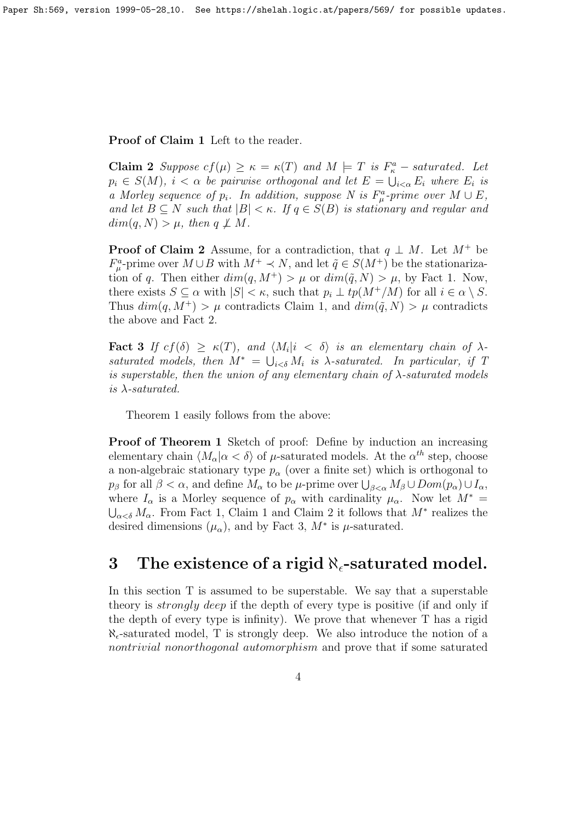Proof of Claim 1 Left to the reader.

**Claim 2** Suppose  $cf(\mu) \ge \kappa = \kappa(T)$  and  $M \models T$  is  $F_{\kappa}^a$  – saturated. Let  $p_i \in S(M)$ ,  $i < \alpha$  be pairwise orthogonal and let  $E = \bigcup_{i < \alpha} E_i$  where  $E_i$  is a Morley sequence of  $p_i$ . In addition, suppose N is  $F^a_\mu$ -prime over  $M \cup E$ , and let  $B \subseteq N$  such that  $|B| < \kappa$ . If  $q \in S(B)$  is stationary and regular and  $dim(q, N) > \mu$ , then  $q \not\perp M$ .

**Proof of Claim 2** Assume, for a contradiction, that  $q \perp M$ . Let  $M^+$  be  $F^a_\mu$ -prime over  $M \cup B$  with  $M^+ \prec N$ , and let  $\tilde{q} \in S(M^+)$  be the stationarization of q. Then either  $dim(q, M^+) > \mu$  or  $dim(\tilde{q}, N) > \mu$ , by Fact 1. Now, there exists  $S \subseteq \alpha$  with  $|S| < \kappa$ , such that  $p_i \perp tp(M^+/M)$  for all  $i \in \alpha \setminus S$ . Thus  $dim(q, M^+) > \mu$  contradicts Claim 1, and  $dim(\tilde{q}, N) > \mu$  contradicts the above and Fact 2.

Fact 3 If  $cf(\delta) \geq \kappa(T)$ , and  $\langle M_i | i \langle \delta \rangle$  is an elementary chain of  $\lambda$ saturated models, then  $M^* = \bigcup_{i < \delta} M_i$  is  $\lambda$ -saturated. In particular, if T is superstable, then the union of any elementary chain of  $\lambda$ -saturated models is  $\lambda$ -saturated.

Theorem 1 easily follows from the above:

Proof of Theorem 1 Sketch of proof: Define by induction an increasing elementary chain  $\langle M_{\alpha} | \alpha \langle \delta \rangle$  of  $\mu$ -saturated models. At the  $\alpha^{th}$  step, choose a non-algebraic stationary type  $p_{\alpha}$  (over a finite set) which is orthogonal to  $p_\beta$  for all  $\beta < \alpha$ , and define  $M_\alpha$  to be  $\mu$ -prime over  $\bigcup_{\beta < \alpha} M_\beta \cup Dom(p_\alpha) \cup I_\alpha$ , where  $I_{\alpha}$  is a Morley sequence of  $p_{\alpha}$  with cardinality  $\mu_{\alpha}$ . Now let  $M^* =$  $\bigcup_{\alpha<\delta}M_{\alpha}$ . From Fact 1, Claim 1 and Claim 2 it follows that  $M^*$  realizes the desired dimensions  $(\mu_{\alpha})$ , and by Fact 3,  $M^*$  is  $\mu$ -saturated.

### 3 The existence of a rigid  $\aleph_{\epsilon}$ -saturated model.

In this section T is assumed to be superstable. We say that a superstable theory is *strongly deep* if the depth of every type is positive (if and only if the depth of every type is infinity). We prove that whenever T has a rigid  $\aleph_{\epsilon}$ -saturated model, T is strongly deep. We also introduce the notion of a nontrivial nonorthogonal automorphism and prove that if some saturated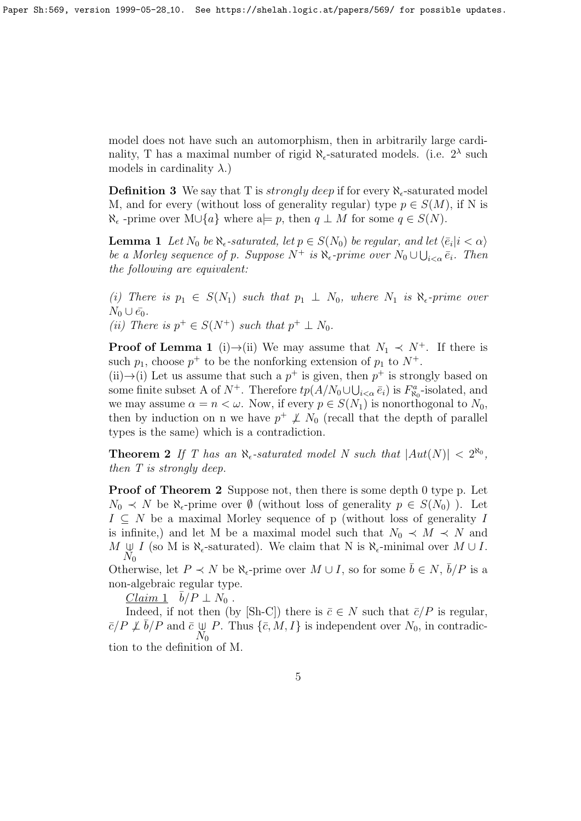model does not have such an automorphism, then in arbitrarily large cardinality, T has a maximal number of rigid  $\aleph_{\epsilon}$ -saturated models. (i.e.  $2^{\lambda}$  such models in cardinality  $\lambda$ .)

**Definition 3** We say that T is *strongly deep* if for every  $\aleph_{\epsilon}$ -saturated model M, and for every (without loss of generality regular) type  $p \in S(M)$ , if N is  $\aleph_{\epsilon}$  -prime over M∪{a} where a $\models p$ , then  $q \perp M$  for some  $q \in S(N)$ .

**Lemma 1** Let  $N_0$  be  $\aleph_{\epsilon}$ -saturated, let  $p \in S(N_0)$  be regular, and let  $\langle \bar{e}_i | i < \alpha \rangle$ be a Morley sequence of p. Suppose  $N^+$  is  $\aleph_{\epsilon}$ -prime over  $N_0 \cup \bigcup_{i < \alpha} \bar{e}_i$ . Then the following are equivalent:

(i) There is  $p_1 \in S(N_1)$  such that  $p_1 \perp N_0$ , where  $N_1$  is  $\aleph_{\epsilon}$ -prime over  $N_0 \cup \bar{e_0}.$ 

(ii) There is  $p^+ \in S(N^+)$  such that  $p^+ \perp N_0$ .

**Proof of Lemma 1** (i) $\rightarrow$ (ii) We may assume that  $N_1 \prec N^+$ . If there is such  $p_1$ , choose  $p^+$  to be the nonforking extension of  $p_1$  to  $N^+$ .

(ii) $\rightarrow$ (i) Let us assume that such a  $p^+$  is given, then  $p^+$  is strongly based on some finite subset A of  $N^+$ . Therefore  $tp(A/N_0\cup\bigcup_{i<\alpha}\bar{e}_i)$  is  $F^a_{\aleph_0}$ -isolated, and we may assume  $\alpha = n < \omega$ . Now, if every  $p \in S(N_1)$  is nonorthogonal to  $N_0$ , then by induction on n we have  $p^+ \not\perp N_0$  (recall that the depth of parallel types is the same) which is a contradiction.

**Theorem 2** If T has an  $\aleph_{\epsilon}$ -saturated model N such that  $|Aut(N)| < 2^{\aleph_0}$ , then T is strongly deep.

Proof of Theorem 2 Suppose not, then there is some depth 0 type p. Let  $N_0 \prec N$  be  $\aleph_{\epsilon}$ -prime over  $\emptyset$  (without loss of generality  $p \in S(N_0)$ ). Let  $I \subseteq N$  be a maximal Morley sequence of p (without loss of generality I is infinite,) and let M be a maximal model such that  $N_0 \prec M \prec N$  and  $M \downarrow I$  (so M is  $\aleph_{\epsilon}$ -saturated). We claim that N is  $\aleph_{\epsilon}$ -minimal over  $M \cup I$ .  $N_0$ 

Otherwise, let  $P \prec N$  be  $\aleph_{\epsilon}$ -prime over  $M \cup I$ , so for some  $\bar{b} \in N$ ,  $\bar{b}/P$  is a non-algebraic regular type.

 $\overline{Claim 1}$   $\overline{b}/P \perp N_0$ .

Indeed, if not then (by [Sh-C]) there is  $\bar{c} \in N$  such that  $\bar{c}/P$  is regular,  $\bar{c}/P \not\perp \bar{b}/P$  and  $\bar{c} \not\cup P$ . Thus  $\{\bar{c}, M, I\}$  is independent over  $N_0$ , in contradic- $N_0$ tion to the definition of M.

5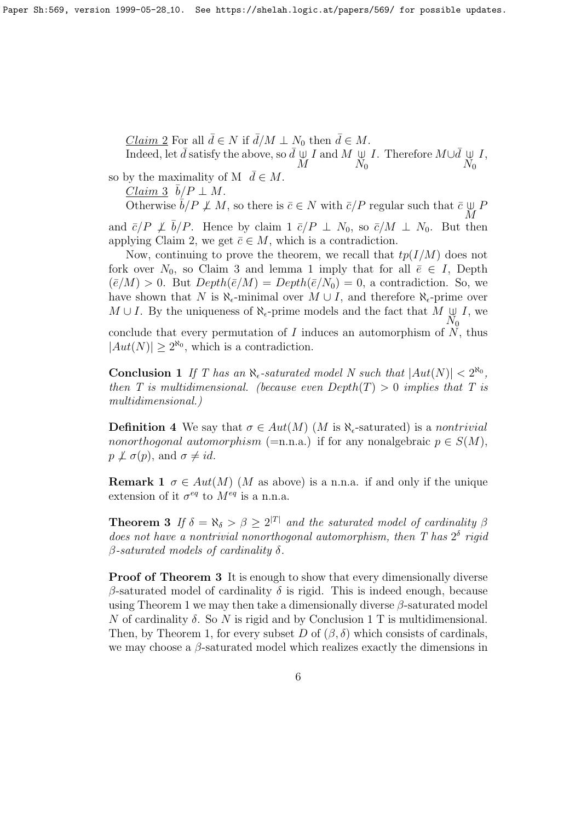Claim 2 For all  $\bar{d} \in N$  if  $\bar{d}/M \perp N_0$  then  $\bar{d} \in M$ . Indeed, let  $\bar{d}$  satisfy the above, so  $\bar{d} \downarrow$ M *I* and *M*  $\psi$  $N_0$ *I*. Therefore  $M\cup \overline{d} \cup \overline{d}$  $N_0$ I,

so by the maximality of M  $\bar{d} \in M$ .

 $\overline{Claim\ 3} \ \ \bar{b}/P \perp M.$ 

Otherwise  $\bar{b}/P \not\perp M$ , so there is  $\bar{c} \in N$  with  $\bar{c}/P$  regular such that  $\bar{c} \cup$ M P and  $\bar{c}/P \not\perp \bar{b}/P$ . Hence by claim 1  $\bar{c}/P \perp N_0$ , so  $\bar{c}/M \perp N_0$ . But then applying Claim 2, we get  $\bar{c} \in M$ , which is a contradiction.

Now, continuing to prove the theorem, we recall that  $tp(I/M)$  does not fork over  $N_0$ , so Claim 3 and lemma 1 imply that for all  $\bar{e} \in I$ , Depth  $(\bar{e}/M) > 0$ . But  $Depth(\bar{e}/M) = Depth(\bar{e}/N_0) = 0$ , a contradiction. So, we have shown that N is  $\aleph_{\epsilon}$ -minimal over  $M \cup I$ , and therefore  $\aleph_{\epsilon}$ -prime over  $M \cup I$ . By the uniqueness of  $\aleph_{\epsilon}$ -prime models and the fact that  $M \downarrow$  $N_0$  $I$ , we

conclude that every permutation of I induces an automorphism of  $N$ , thus  $|Aut(N)| \geq 2^{\aleph_0}$ , which is a contradiction.

**Conclusion 1** If T has an  $\aleph_{\epsilon}$ -saturated model N such that  $|Aut(N)| < 2^{\aleph_0}$ , then T is multidimensional. (because even  $Depth(T) > 0$  implies that T is multidimensional.)

**Definition 4** We say that  $\sigma \in Aut(M)$  (M is  $\aleph_{\epsilon}$ -saturated) is a nontrivial nonorthogonal automorphism (=n.n.a.) if for any nonalgebraic  $p \in S(M)$ ,  $p \not\perp \sigma(p)$ , and  $\sigma \neq id$ .

**Remark 1**  $\sigma \in Aut(M)$  (*M* as above) is a n.n.a. if and only if the unique extension of it  $\sigma^{eq}$  to  $M^{eq}$  is a n.n.a.

**Theorem 3** If  $\delta = \aleph_{\delta} > \beta \geq 2^{|T|}$  and the saturated model of cardinality  $\beta$ does not have a nontrivial nonorthogonal automorphism, then  $T$  has  $2^{\delta}$  rigid  $\beta$ -saturated models of cardinality  $\delta$ .

**Proof of Theorem 3** It is enough to show that every dimensionally diverse β-saturated model of cardinality  $\delta$  is rigid. This is indeed enough, because using Theorem 1 we may then take a dimensionally diverse  $\beta$ -saturated model N of cardinality  $\delta$ . So N is rigid and by Conclusion 1 T is multidimensional. Then, by Theorem 1, for every subset D of  $(\beta, \delta)$  which consists of cardinals, we may choose a  $\beta$ -saturated model which realizes exactly the dimensions in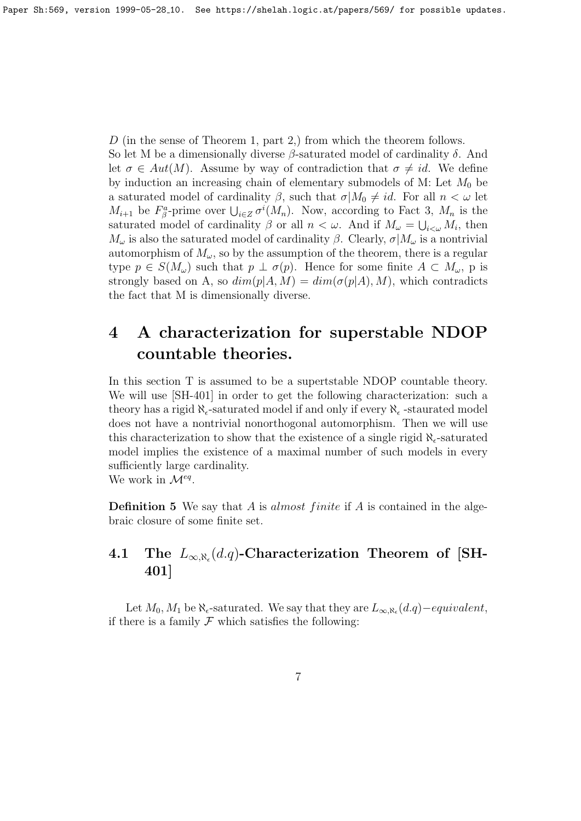D (in the sense of Theorem 1, part 2,) from which the theorem follows.

So let M be a dimensionally diverse  $\beta$ -saturated model of cardinality  $\delta$ . And let  $\sigma \in Aut(M)$ . Assume by way of contradiction that  $\sigma \neq id$ . We define by induction an increasing chain of elementary submodels of M: Let  $M_0$  be a saturated model of cardinality  $\beta$ , such that  $\sigma | M_0 \neq id$ . For all  $n < \omega$  let  $M_{i+1}$  be  $F^a_\beta$ -prime over  $\bigcup_{i\in\mathbb{Z}}\sigma^i(M_n)$ . Now, according to Fact 3,  $M_n$  is the saturated model of cardinality  $\beta$  or all  $n < \omega$ . And if  $M_{\omega} = \bigcup_{i < \omega} M_i$ , then  $M_{\omega}$  is also the saturated model of cardinality  $\beta$ . Clearly,  $\sigma | M_{\omega}$  is a nontrivial automorphism of  $M_{\omega}$ , so by the assumption of the theorem, there is a regular type  $p \in S(M_\omega)$  such that  $p \perp \sigma(p)$ . Hence for some finite  $A \subset M_\omega$ , p is strongly based on A, so  $dim(p|A, M) = dim(\sigma(p|A), M)$ , which contradicts the fact that M is dimensionally diverse.

# 4 A characterization for superstable NDOP countable theories.

In this section T is assumed to be a supertstable NDOP countable theory. We will use [SH-401] in order to get the following characterization: such a theory has a rigid  $\aleph_{\epsilon}$ -saturated model if and only if every  $\aleph_{\epsilon}$ -staurated model does not have a nontrivial nonorthogonal automorphism. Then we will use this characterization to show that the existence of a single rigid  $\aleph_{\epsilon}$ -saturated model implies the existence of a maximal number of such models in every sufficiently large cardinality. We work in  $\mathcal{M}^{eq}$ .

**Definition 5** We say that A is *almost finite* if A is contained in the algebraic closure of some finite set.

#### $\textbf{4.1}\quad \textbf{The}\;\; L_{\infty,\aleph_{\epsilon}}(d.q)\textbf{-Characterization}\;\; \textbf{Theorem \; of}\;\; \textbf{[SH-1]}$ 401]

Let  $M_0, M_1$  be  $\aleph_{\epsilon}$ -saturated. We say that they are  $L_{\infty,\aleph_{\epsilon}}(d.q) - equivalent$ , if there is a family  $\mathcal F$  which satisfies the following: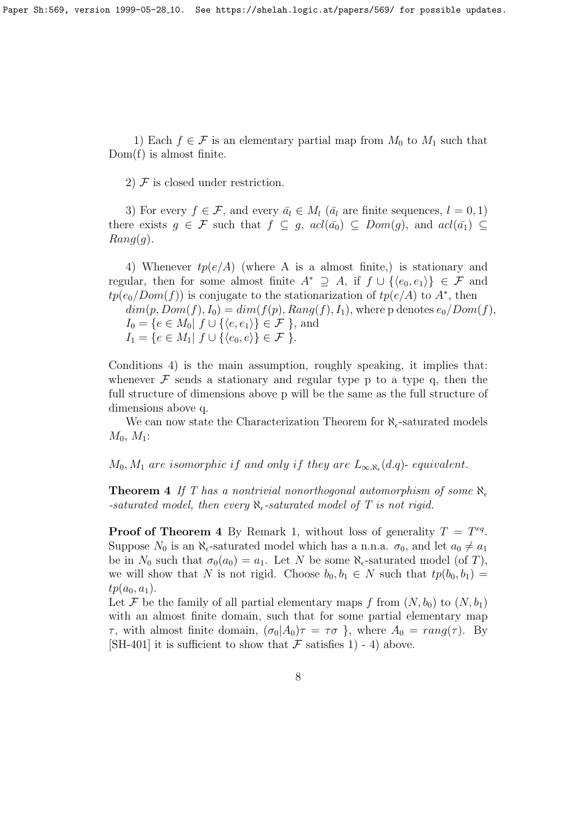Paper Sh:569, version 1999-05-28 10. See https://shelah.logic.at/papers/569/ for possible updates.

1) Each  $f \in \mathcal{F}$  is an elementary partial map from  $M_0$  to  $M_1$  such that Dom(f) is almost finite.

2)  $\mathcal F$  is closed under restriction.

3) For every  $f \in \mathcal{F}$ , and every  $\bar{a}_l \in M_l$  ( $\bar{a}_l$  are finite sequences,  $l = 0, 1$ ) there exists  $g \in \mathcal{F}$  such that  $f \subseteq g$ ,  $\text{acl}(\bar{a_0}) \subseteq \text{Dom}(g)$ , and  $\text{acl}(\bar{a_1}) \subseteq$  $Rang(g)$ .

4) Whenever  $tp(e/A)$  (where A is a almost finite,) is stationary and regular, then for some almost finite  $A^* \supseteq A$ , if  $f \cup \{ \langle e_0, e_1 \rangle \} \in \mathcal{F}$  and  $tp(e_0/Dom(f))$  is conjugate to the stationarization of  $tp(e/A)$  to  $A^*$ , then  $dim(p, Dom(f), I_0) = dim(f(p), Rang(f), I_1)$ , where p denotes  $e_0/Dom(f)$ ,  $I_0 = \{e \in M_0 | f \cup \{ \langle e, e_1 \rangle \} \in \mathcal{F} \}$ , and  $I_1 = \{e \in M_1 | f \cup \{\langle e_0, e \rangle\} \in \mathcal{F} \}.$ 

Conditions 4) is the main assumption, roughly speaking, it implies that: whenever  $\mathcal F$  sends a stationary and regular type p to a type q, then the full structure of dimensions above p will be the same as the full structure of dimensions above q.

We can now state the Characterization Theorem for  $\aleph_{\epsilon}$ -saturated models  $M_0, M_1$ :

 $M_0, M_1$  are isomorphic if and only if they are  $L_{\infty, \aleph_{\epsilon}}(d.q)$ - equivalent.

**Theorem 4** If T has a nontrivial nonorthogonal automorphism of some  $\aleph_{\epsilon}$ -saturated model, then every  $\aleph_{\epsilon}$ -saturated model of T is not rigid.

**Proof of Theorem 4** By Remark 1, without loss of generality  $T = T^{eq}$ . Suppose  $N_0$  is an  $\aleph_{\epsilon}$ -saturated model which has a n.n.a.  $\sigma_0$ , and let  $a_0 \neq a_1$ be in  $N_0$  such that  $\sigma_0(a_0) = a_1$ . Let N be some  $\aleph_{\epsilon}$ -saturated model (of T), we will show that N is not rigid. Choose  $b_0, b_1 \in N$  such that  $tp(b_0, b_1) =$  $tp(a_0, a_1).$ 

Let F be the family of all partial elementary maps f from  $(N, b_0)$  to  $(N, b_1)$ with an almost finite domain, such that for some partial elementary map  $\tau$ , with almost finite domain,  $(\sigma_0|A_0)\tau = \tau\sigma$ , where  $A_0 = rang(\tau)$ . By [SH-401] it is sufficient to show that  $\mathcal F$  satisfies 1) - 4) above.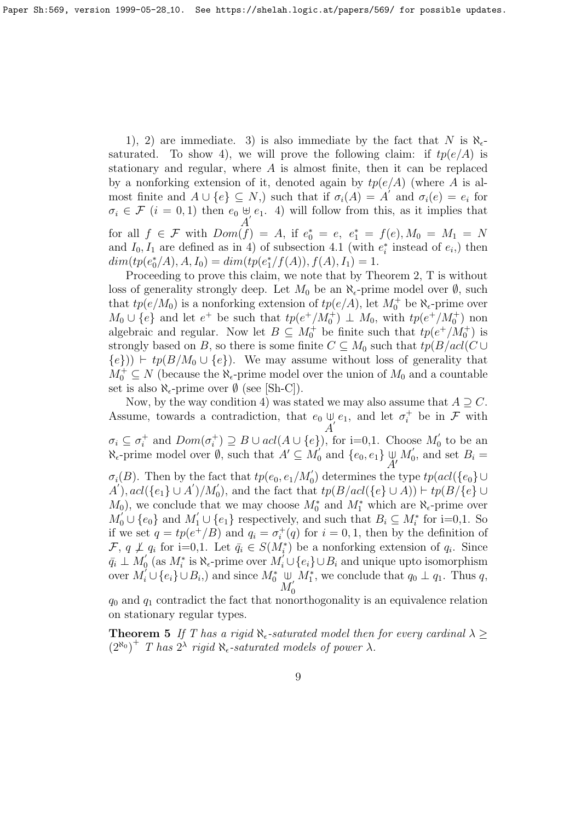1), 2) are immediate. 3) is also immediate by the fact that N is  $\aleph_{\epsilon}$ saturated. To show 4), we will prove the following claim: if  $tp(e/A)$  is stationary and regular, where  $A$  is almost finite, then it can be replaced by a nonforking extension of it, denoted again by  $tp(e/A)$  (where A is almost finite and  $A \cup \{e\} \subseteq N$ , such that if  $\sigma_i(A) = A'$  and  $\sigma_i(e) = e_i$  for  $\sigma_i \in \mathcal{F}$   $(i = 0, 1)$  then  $e_0 \notin e_1$ . 4) will follow from this, as it implies that A for all  $f \in \mathcal{F}$  with  $Dom(f) = A$ , if  $e_0^* = e$ ,  $e_1^* = f(e)$ ,  $M_0 = M_1 = N$ and  $I_0, I_1$  are defined as in 4) of subsection 4.1 (with  $e_i^*$  instead of  $e_i$ ) then  $dim(tp(e_0^*/A), A, I_0) = dim(tp(e_1^*/f(A)), f(A), I_1) = 1.$ 

Proceeding to prove this claim, we note that by Theorem 2, T is without loss of generality strongly deep. Let  $M_0$  be an  $\aleph_{\epsilon}$ -prime model over  $\emptyset$ , such that  $tp(e/M_0)$  is a nonforking extension of  $tp(e/A)$ , let  $M_0^+$  be  $\aleph_{\epsilon}$ -prime over  $M_0 \cup \{e\}$  and let  $e^+$  be such that  $tp(e^+/M_0^+) \perp M_0$ , with  $tp(e^+/M_0^+)$  non algebraic and regular. Now let  $B \subseteq M_0^+$  be finite such that  $tp(e^+/M_0^+)$  is strongly based on B, so there is some finite  $C \subseteq M_0$  such that  $tp(B/acl(C \cup$  ${e})$ )  $\vdash tp(B/M_0 \cup {e})$ . We may assume without loss of generality that  $M_0^+ \subseteq N$  (because the  $\aleph_{\epsilon}$ -prime model over the union of  $M_0$  and a countable set is also  $\aleph_{\epsilon}$ -prime over  $\emptyset$  (see [Sh-C]).

Now, by the way condition 4) was stated we may also assume that  $A \supseteq C$ . Assume, towards a contradiction, that  $e_0 \cup$  $\bigcup_{i=1}^{\infty} e_1$ , and let  $\sigma_i^+$  be in  $\mathcal F$  with  $\sigma_i \subseteq \sigma_i^+$  and  $Dom(\sigma_i^+) \supseteq B \cup acl(A \cup \{e\})$ , for i=0,1. Choose  $M'_0$  $\frac{1}{0}$  to be an  $\aleph_{\epsilon}$ -prime model over  $\emptyset$ , such that  $A' \subseteq M_0$  $\begin{bmatrix} 0 \\ 0 \end{bmatrix}$  and  $\{e_0, e_1\} \cup \{e_0, e_1\}$  $\bar{A}^{\prime}$  $M_{0}^{\prime}$  $b'_0$ , and set  $B_i =$  $\sigma_i(B)$ . Then by the fact that  $tp(e_0, e_1/M_0')$  determines the type  $tp(acl({e_0}) \cup$  $A'$ ),  $acl({e_1} \cup A')/M_0'$ , and the fact that  $tp(B/acl({e_1} \cup A)) \vdash tp(B/{e_1} \cup A')$  $M_0$ , we conclude that we may choose  $M_0^*$  and  $M_1^*$  which are  $\aleph_{\epsilon}$ -prime over  $M_0' \cup \{e_0\}$  and  $M_1' \cup \{e_1\}$  respectively, and such that  $B_i \subseteq M_i^*$  for i=0,1. So if we set  $q = tp(e^{+}/B)$  and  $q_i = \sigma_i^{+}(q)$  for  $i = 0, 1$ , then by the definition of F,  $q \not\perp q_i$  for i=0,1. Let  $\bar{q}_i \in S(M_i^*)$  be a nonforking extension of  $q_i$ . Since  $\bar{q_i} \perp M_0'$  $\sum_{i=0}^{n}$  (as  $M_i^*$  is  $\aleph_{\epsilon}$ -prime over  $M_i^{\prime} \cup \{e_i\} \cup B_i$  and unique upto isomorphism over  $M_i^{\prime} \cup \{e_i\} \cup B_i$ , and since  $M_0^*$   $\cup$  $M_{0}^{\prime}$ 0  $M_1^*$ , we conclude that  $q_0 \perp q_1$ . Thus q,

 $q_0$  and  $q_1$  contradict the fact that nonorthogonality is an equivalence relation on stationary regular types.

**Theorem 5** If T has a rigid  $\aleph_{\epsilon}$ -saturated model then for every cardinal  $\lambda \geq$  $(2^{\aleph_0})^+$  T has  $2^{\lambda}$  rigid  $\aleph_{\epsilon}$ -saturated models of power  $\lambda$ .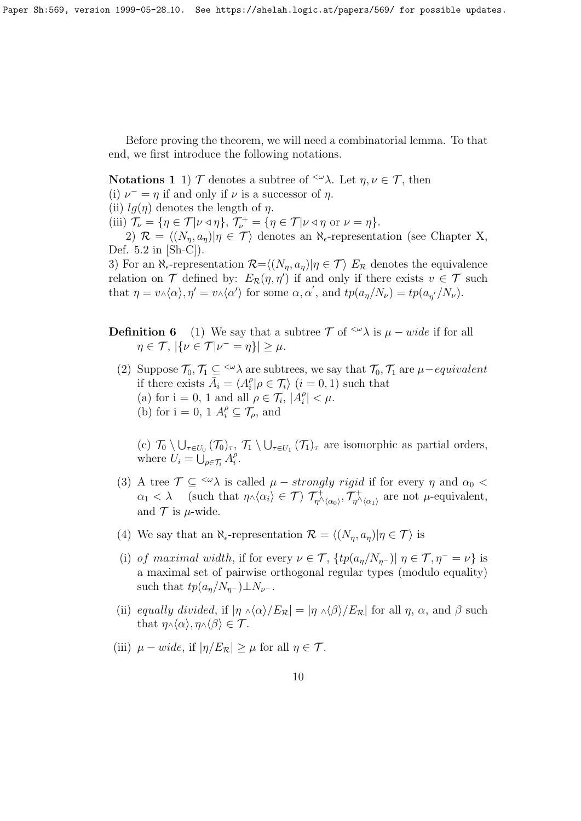Paper Sh:569, version 1999-05-28 10. See https://shelah.logic.at/papers/569/ for possible updates.

Before proving the theorem, we will need a combinatorial lemma. To that end, we first introduce the following notations.

Notations 1 1)  $\mathcal T$  denotes a subtree of  $\langle \omega \rangle$ . Let  $\eta, \nu \in \mathcal T$ , then (i)  $\nu^- = \eta$  if and only if  $\nu$  is a successor of  $\eta$ .

(ii)  $lq(\eta)$  denotes the length of  $\eta$ .

(iii)  $\mathcal{T}_{\nu} = {\eta \in \mathcal{T} | \nu \triangleleft \eta}, \mathcal{T}_{\nu}^{+} = {\eta \in \mathcal{T} | \nu \triangleleft \eta} \text{ or } \nu = \eta}.$ 

2)  $\mathcal{R} = \langle (N_n, a_n) | \eta \in \mathcal{T} \rangle$  denotes an  $\aleph_{\epsilon}$ -representation (see Chapter X, Def. 5.2 in [Sh-C]).

3) For an  $\aleph_{\epsilon}$ -representation  $\mathcal{R}=\langle (N_{\eta}, a_{\eta})|\eta \in \mathcal{T} \rangle$  E<sub>R</sub> denotes the equivalence relation on  $\mathcal T$  defined by:  $E_{\mathcal R}(\eta,\eta')$  if and only if there exists  $v \in \mathcal T$  such that  $\eta = v \wedge \langle \alpha \rangle$ ,  $\eta' = v \wedge \langle \alpha' \rangle$  for some  $\alpha, \alpha'$ , and  $tp(a_{\eta}/N_{\nu}) = tp(a_{\eta'}/N_{\nu}).$ 

**Definition 6** (1) We say that a subtree  $\mathcal{T}$  of  $\langle \omega \rangle$  is  $\mu - wide$  if for all  $\eta \in \mathcal{T}, |\{\nu \in \mathcal{T} | \nu^{-} = \eta\}| \geq \mu.$ 

(2) Suppose  $\mathcal{T}_0, \mathcal{T}_1 \subseteq \langle \omega \rangle$  are subtrees, we say that  $\mathcal{T}_0, \mathcal{T}_1$  are  $\mu$ -equivalent if there exists  $\bar{A}_i = \langle A_i^{\rho} \rangle$  $\hat{i} | \rho \in \mathcal{T}_i \rangle$   $(i = 0, 1)$  such that (a) for  $i = 0, 1$  and all  $\rho \in \mathcal{T}_i$ ,  $|A_i^{\rho}|$  $|_{i}^{\rho}| < \mu.$ (b) for  $i = 0, 1$   $A_i^{\rho} \subseteq \mathcal{T}_{\rho}$ , and

(c)  $\mathcal{T}_0 \setminus \bigcup_{\tau \in U_0} (\mathcal{T}_0)_{\tau}, \mathcal{T}_1 \setminus \bigcup_{\tau \in U_1} (\mathcal{T}_1)_{\tau}$  are isomorphic as partial orders, where  $U_i = \bigcup_{\rho \in \mathcal{T}_i} A_i^{\rho}$  $\frac{\rho}{i}$ .

- (3) A tree  $\mathcal{T} \subseteq {}^{<\omega} \lambda$  is called  $\mu$  strongly rigid if for every  $\eta$  and  $\alpha_0$  <  $\alpha_1 < \lambda$  (such that  $\eta \wedge \langle \alpha_i \rangle \in \mathcal{T}$ )  $\mathcal{T}_{\eta \wedge \langle \alpha_0 \rangle}^+, \mathcal{T}_{\eta \wedge \langle \alpha_1 \rangle}^+$  are not  $\mu$ -equivalent, and  $\mathcal T$  is  $\mu$ -wide.
- (4) We say that an  $\aleph_{\epsilon}$ -representation  $\mathcal{R} = \langle (N_{\eta}, a_{\eta})| \eta \in \mathcal{T} \rangle$  is
- (i) of maximal width, if for every  $\nu \in \mathcal{T}$ ,  $\{tp(a_n/N_{n-})| \eta \in \mathcal{T}, \eta^- = \nu\}$  is a maximal set of pairwise orthogonal regular types (modulo equality) such that  $tp(a_n/N_{n^-})\perp N_{\nu^-}$ .
- (ii) equally divided, if  $|\eta \wedge \langle \alpha \rangle/E_{\mathcal{R}}| = |\eta \wedge \langle \beta \rangle/E_{\mathcal{R}}|$  for all  $\eta$ ,  $\alpha$ , and  $\beta$  such that  $\eta \wedge \langle \alpha \rangle$ ,  $\eta \wedge \langle \beta \rangle \in \mathcal{T}$ .
- (iii)  $\mu wide$ , if  $|\eta/E_{\mathcal{R}}| \geq \mu$  for all  $\eta \in \mathcal{T}$ .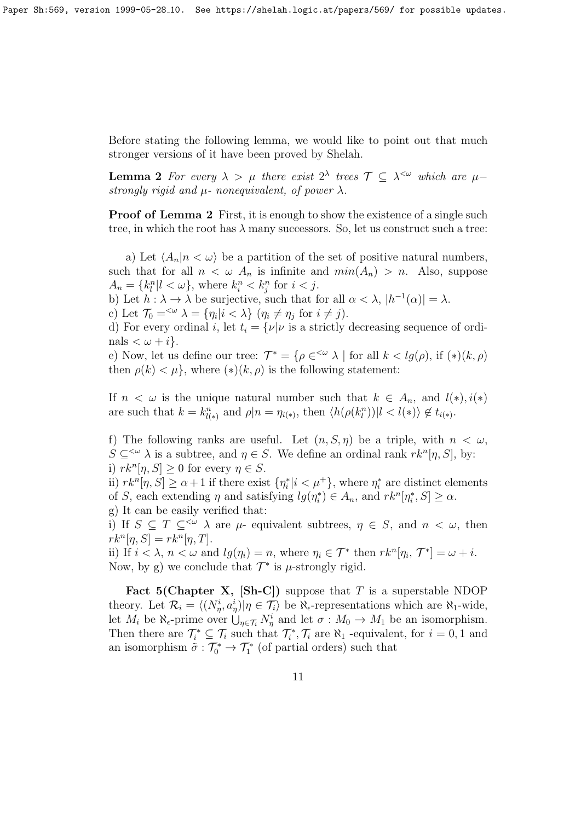Before stating the following lemma, we would like to point out that much stronger versions of it have been proved by Shelah.

**Lemma 2** For every  $\lambda > \mu$  there exist  $2^{\lambda}$  trees  $\mathcal{T} \subseteq \lambda^{\leq \omega}$  which are  $\mu$ strongly rigid and  $\mu$ - nonequivalent, of power  $\lambda$ .

**Proof of Lemma 2** First, it is enough to show the existence of a single such tree, in which the root has  $\lambda$  many successors. So, let us construct such a tree:

a) Let  $\langle A_n|n < \omega \rangle$  be a partition of the set of positive natural numbers, such that for all  $n < \omega A_n$  is infinite and  $min(A_n) > n$ . Also, suppose  $A_n = \{k_l^n | l < \omega\}$ , where  $k_i^n < k_j^n$  for  $i < j$ .

b) Let  $h : \lambda \to \lambda$  be surjective, such that for all  $\alpha < \lambda$ ,  $|h^{-1}(\alpha)| = \lambda$ .

c) Let  $\mathcal{T}_0 = \langle \omega \rangle \lambda = {\eta_i | i < \lambda} \ (\eta_i \neq \eta_j \text{ for } i \neq j).$ 

d) For every ordinal i, let  $t_i = \{ \nu | \nu \text{ is a strictly decreasing sequence of ordi-1} \}$ nals  $\langle \omega + i \rangle$ .

e) Now, let us define our tree:  $\mathcal{T}^* = \{ \rho \in \leq^{\omega} \lambda \mid \text{for all } k < lg(\rho), \text{ if } (*)(k, \rho) \}$ then  $\rho(k) < \mu$ , where  $(\ast)(k, \rho)$  is the following statement:

If  $n < \omega$  is the unique natural number such that  $k \in A_n$ , and  $l(*)$ ,  $i(*)$ are such that  $k = k_{l(*)}^n$  and  $\rho | n = \eta_{i(*)}$ , then  $\langle h(\rho(k_l^n)) | l \langle l(*) \rangle \notin t_{i(*)}$ .

f) The following ranks are useful. Let  $(n, S, \eta)$  be a triple, with  $n < \omega$ ,  $S \subseteq \langle \omega \rangle$  is a subtree, and  $\eta \in S$ . We define an ordinal rank  $rk^{n}[\eta, S]$ , by: i)  $rk^{n}[\eta, S] \geq 0$  for every  $\eta \in S$ .

ii)  $rk^{n}[\eta, S] \ge \alpha + 1$  if there exist  $\{\eta_i^* | i \lt \mu^+\}$ , where  $\eta_i^*$  are distinct elements of S, each extending  $\eta$  and satisfying  $lg(\eta_i^*) \in A_n$ , and  $rk^n[\eta_i^*, S] \ge \alpha$ . g) It can be easily verified that:

i) If  $S \subseteq T \subseteq \sim \lambda$  are  $\mu$ - equivalent subtrees,  $\eta \in S$ , and  $n < \omega$ , then  $rk^{n}[\eta, S] = rk^{n}[\eta, T].$ 

ii) If  $i < \lambda$ ,  $n < \omega$  and  $lg(\eta_i) = n$ , where  $\eta_i \in \mathcal{T}^*$  then  $rk^n[\eta_i, \mathcal{T}^*] = \omega + i$ . Now, by g) we conclude that  $\mathcal{T}^*$  is  $\mu$ -strongly rigid.

**Fact 5(Chapter X, [Sh-C])** suppose that T is a superstable NDOP theory. Let  $\mathcal{R}_i = \langle (N^i_{\eta}, a^i_{\eta}) | \eta \in \mathcal{T}_i \rangle$  be  $\aleph_{\epsilon}$ -representations which are  $\aleph_1$ -wide, let  $M_i$  be  $\aleph_{\epsilon}$ -prime over  $\bigcup_{\eta \in \mathcal{T}_i} N_{\eta}^i$  and let  $\sigma : M_0 \to M_1$  be an isomorphism. Then there are  $\mathcal{T}_i^* \subseteq \mathcal{T}_i$  such that  $\mathcal{T}_i^*, \mathcal{T}_i$  are  $\aleph_1$  -equivalent, for  $i = 0, 1$  and an isomorphism  $\tilde{\sigma}: \mathcal{T}_0^* \to \mathcal{T}_1^*$  (of partial orders) such that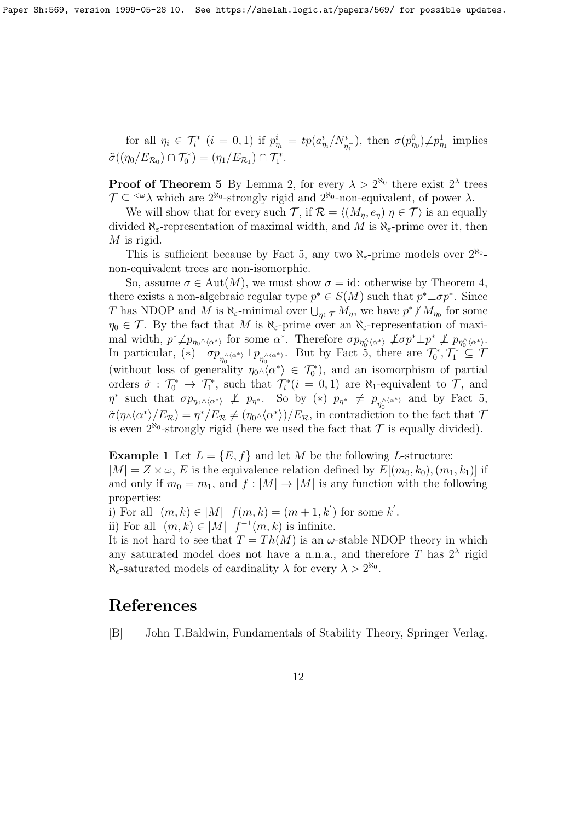for all  $\eta_i \in \mathcal{T}_i^*$   $(i = 0, 1)$  if  $p_{\eta_i}^i = tp(a_{\eta_i}^i/N_{\eta_i}^i)$ , then  $\sigma(p_{\eta_0}^0)\cancel{\perp}p_{\eta_1}^1$  implies  $\tilde{\sigma}((\eta_0/E_{\mathcal{R}_0}) \cap \mathcal{T}_0^*) = (\eta_1/E_{\mathcal{R}_1}) \cap \mathcal{T}_1^*.$ 

**Proof of Theorem 5** By Lemma 2, for every  $\lambda > 2^{\aleph_0}$  there exist  $2^{\lambda}$  trees  $\mathcal{T} \subseteq \langle \omega \rangle$  which are  $2^{\aleph_0}$ -strongly rigid and  $2^{\aleph_0}$ -non-equivalent, of power  $\lambda$ .

We will show that for every such T, if  $\mathcal{R} = \langle (M_n, e_n)| \eta \in \mathcal{T} \rangle$  is an equally divided  $\aleph_{\varepsilon}$ -representation of maximal width, and M is  $\aleph_{\varepsilon}$ -prime over it, then  $M$  is rigid.

This is sufficient because by Fact 5, any two  $\aleph_{\varepsilon}$ -prime models over  $2^{\aleph_0}$ non-equivalent trees are non-isomorphic.

So, assume  $\sigma \in \text{Aut}(M)$ , we must show  $\sigma = id$ : otherwise by Theorem 4, there exists a non-algebraic regular type  $p^* \in S(M)$  such that  $p^* \bot \sigma p^*$ . Since T has NDOP and M is  $\aleph_{\varepsilon}$ -minimal over  $\bigcup_{\eta \in \mathcal{T}} M_{\eta}$ , we have  $p^* \nleq M_{\eta_0}$  for some  $\eta_0 \in \mathcal{T}$ . By the fact that M is  $\aleph_{\varepsilon}$ -prime over an  $\aleph_{\varepsilon}$ -representation of maximal width,  $p^* \nperp p_{\eta_0 \wedge \langle \alpha^* \rangle}$  for some  $\alpha^*$ . Therefore  $\sigma p_{\eta_0 \wedge \langle \alpha^* \rangle} \nightharpoondown \sigma p^* \perp p^* \nightharpoondown \sigma p_{\eta_0 \wedge \langle \alpha^* \rangle}$ . In particular, (\*)  $\sigma p_{\eta_0^{\wedge(\alpha^*)}} \perp p_{\eta_0^{\wedge(\alpha^*)}}$ . But by Fact 5, there are  $\mathcal{T}_0^*, \mathcal{T}_1^* \subseteq \mathcal{T}$ (without loss of generality  $\eta_0 \wedge \langle \alpha^* \rangle \in \mathcal{T}_0^*$ ), and an isomorphism of partial orders  $\tilde{\sigma}$ :  $\mathcal{T}_0^* \to \mathcal{T}_1^*$ , such that  $\mathcal{T}_i^*(i=0,1)$  are  $\aleph_1$ -equivalent to  $\mathcal{T}_2$ , and  $\eta^*$  such that  $\sigma p_{\eta_0 \wedge \langle \alpha^* \rangle} \not\perp p_{\eta^*}.$  So by (\*)  $p_{\eta^*} \not\equiv p_{\eta_0 \wedge \langle \alpha^* \rangle}$  and by Fact 5,  $\tilde{\sigma}(\eta \wedge \langle \alpha^* \rangle / E_{\mathcal{R}}) = \eta^* / E_{\mathcal{R}} \neq (\eta_0 \wedge \langle \alpha^* \rangle) / E_{\mathcal{R}}$ , in contradiction to the fact that 7 is even  $2^{\aleph_0}$ -strongly rigid (here we used the fact that  $\mathcal T$  is equally divided).

**Example 1** Let  $L = \{E, f\}$  and let M be the following L-structure:

 $|M| = Z \times \omega$ , E is the equivalence relation defined by  $E[(m_0, k_0), (m_1, k_1)]$  if and only if  $m_0 = m_1$ , and  $f : |M| \to |M|$  is any function with the following properties:

i) For all  $(m, k) \in |M|$   $f(m, k) = (m + 1, k')$  for some k'.

ii) For all  $(m, k) \in |M|$   $f^{-1}(m, k)$  is infinite.

It is not hard to see that  $T = Th(M)$  is an  $\omega$ -stable NDOP theory in which any saturated model does not have a n.n.a., and therefore T has  $2^{\lambda}$  rigid  $\aleph_{\epsilon}$ -saturated models of cardinality  $\lambda$  for every  $\lambda > 2^{\aleph_0}$ .

#### References

[B] John T.Baldwin, Fundamentals of Stability Theory, Springer Verlag.